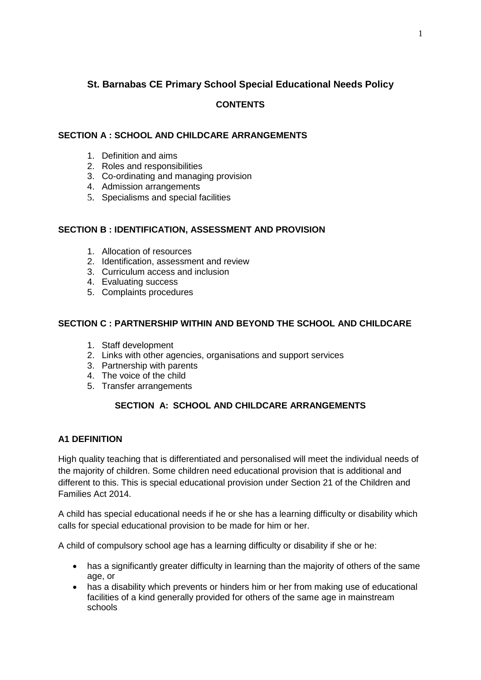# **St. Barnabas CE Primary School Special Educational Needs Policy**

## **CONTENTS**

## **SECTION A : SCHOOL AND CHILDCARE ARRANGEMENTS**

- 1. Definition and aims
- 2. Roles and responsibilities
- 3. Co-ordinating and managing provision
- 4. Admission arrangements
- 5. Specialisms and special facilities

### **SECTION B : IDENTIFICATION, ASSESSMENT AND PROVISION**

- 1. Allocation of resources
- 2. Identification, assessment and review
- 3. Curriculum access and inclusion
- 4. Evaluating success
- 5. Complaints procedures

### **SECTION C : PARTNERSHIP WITHIN AND BEYOND THE SCHOOL AND CHILDCARE**

- 1. Staff development
- 2. Links with other agencies, organisations and support services
- 3. Partnership with parents
- 4. The voice of the child
- 5. Transfer arrangements

## **SECTION A: SCHOOL AND CHILDCARE ARRANGEMENTS**

## **A1 DEFINITION**

High quality teaching that is differentiated and personalised will meet the individual needs of the majority of children. Some children need educational provision that is additional and different to this. This is special educational provision under Section 21 of the Children and Families Act 2014.

A child has special educational needs if he or she has a learning difficulty or disability which calls for special educational provision to be made for him or her.

A child of compulsory school age has a learning difficulty or disability if she or he:

- has a significantly greater difficulty in learning than the majority of others of the same age, or
- has a disability which prevents or hinders him or her from making use of educational facilities of a kind generally provided for others of the same age in mainstream schools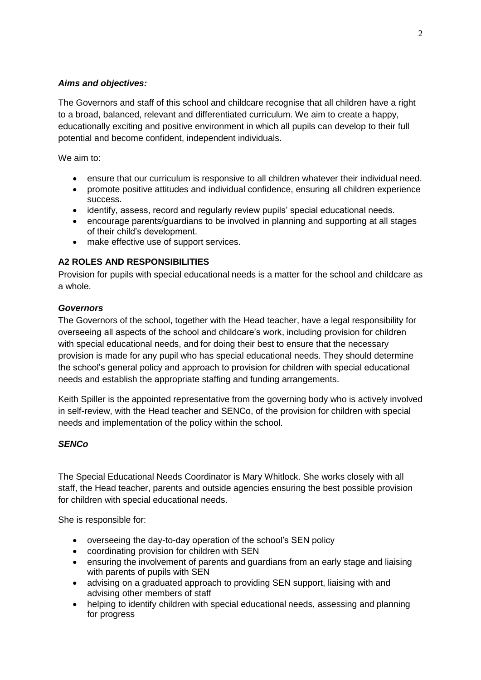### *Aims and objectives:*

The Governors and staff of this school and childcare recognise that all children have a right to a broad, balanced, relevant and differentiated curriculum. We aim to create a happy, educationally exciting and positive environment in which all pupils can develop to their full potential and become confident, independent individuals.

We aim to:

- ensure that our curriculum is responsive to all children whatever their individual need.
- promote positive attitudes and individual confidence, ensuring all children experience success.
- identify, assess, record and regularly review pupils' special educational needs.
- encourage parents/guardians to be involved in planning and supporting at all stages of their child's development.
- make effective use of support services.

## **A2 ROLES AND RESPONSIBILITIES**

Provision for pupils with special educational needs is a matter for the school and childcare as a whole.

### *Governors*

The Governors of the school, together with the Head teacher, have a legal responsibility for overseeing all aspects of the school and childcare's work, including provision for children with special educational needs, and for doing their best to ensure that the necessary provision is made for any pupil who has special educational needs. They should determine the school's general policy and approach to provision for children with special educational needs and establish the appropriate staffing and funding arrangements.

Keith Spiller is the appointed representative from the governing body who is actively involved in self-review, with the Head teacher and SENCo, of the provision for children with special needs and implementation of the policy within the school.

## *SENCo*

The Special Educational Needs Coordinator is Mary Whitlock. She works closely with all staff, the Head teacher, parents and outside agencies ensuring the best possible provision for children with special educational needs.

She is responsible for:

- overseeing the day-to-day operation of the school's SEN policy
- coordinating provision for children with SEN
- ensuring the involvement of parents and guardians from an early stage and liaising with parents of pupils with SEN
- advising on a graduated approach to providing SEN support, liaising with and advising other members of staff
- helping to identify children with special educational needs, assessing and planning for progress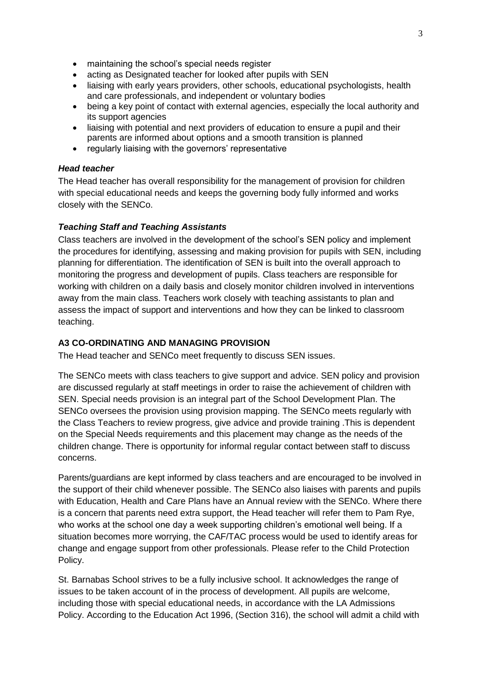- maintaining the school's special needs register
- acting as Designated teacher for looked after pupils with SEN
- liaising with early years providers, other schools, educational psychologists, health and care professionals, and independent or voluntary bodies
- being a key point of contact with external agencies, especially the local authority and its support agencies
- liaising with potential and next providers of education to ensure a pupil and their parents are informed about options and a smooth transition is planned
- regularly liaising with the governors' representative

#### *Head teacher*

The Head teacher has overall responsibility for the management of provision for children with special educational needs and keeps the governing body fully informed and works closely with the SENCo.

#### *Teaching Staff and Teaching Assistants*

Class teachers are involved in the development of the school's SEN policy and implement the procedures for identifying, assessing and making provision for pupils with SEN, including planning for differentiation. The identification of SEN is built into the overall approach to monitoring the progress and development of pupils. Class teachers are responsible for working with children on a daily basis and closely monitor children involved in interventions away from the main class. Teachers work closely with teaching assistants to plan and assess the impact of support and interventions and how they can be linked to classroom teaching.

### **A3 CO-ORDINATING AND MANAGING PROVISION**

The Head teacher and SENCo meet frequently to discuss SEN issues.

The SENCo meets with class teachers to give support and advice. SEN policy and provision are discussed regularly at staff meetings in order to raise the achievement of children with SEN. Special needs provision is an integral part of the School Development Plan. The SENCo oversees the provision using provision mapping. The SENCo meets regularly with the Class Teachers to review progress, give advice and provide training .This is dependent on the Special Needs requirements and this placement may change as the needs of the children change. There is opportunity for informal regular contact between staff to discuss concerns.

Parents/guardians are kept informed by class teachers and are encouraged to be involved in the support of their child whenever possible. The SENCo also liaises with parents and pupils with Education, Health and Care Plans have an Annual review with the SENCo. Where there is a concern that parents need extra support, the Head teacher will refer them to Pam Rye, who works at the school one day a week supporting children's emotional well being. If a situation becomes more worrying, the CAF/TAC process would be used to identify areas for change and engage support from other professionals. Please refer to the Child Protection Policy.

St. Barnabas School strives to be a fully inclusive school. It acknowledges the range of issues to be taken account of in the process of development. All pupils are welcome, including those with special educational needs, in accordance with the LA Admissions Policy. According to the Education Act 1996, (Section 316), the school will admit a child with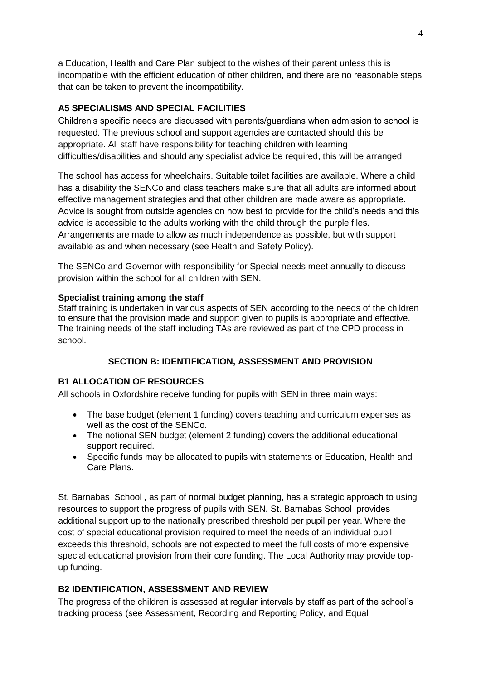a Education, Health and Care Plan subject to the wishes of their parent unless this is incompatible with the efficient education of other children, and there are no reasonable steps that can be taken to prevent the incompatibility.

## **A5 SPECIALISMS AND SPECIAL FACILITIES**

Children's specific needs are discussed with parents/guardians when admission to school is requested. The previous school and support agencies are contacted should this be appropriate. All staff have responsibility for teaching children with learning difficulties/disabilities and should any specialist advice be required, this will be arranged.

The school has access for wheelchairs. Suitable toilet facilities are available. Where a child has a disability the SENCo and class teachers make sure that all adults are informed about effective management strategies and that other children are made aware as appropriate. Advice is sought from outside agencies on how best to provide for the child's needs and this advice is accessible to the adults working with the child through the purple files. Arrangements are made to allow as much independence as possible, but with support available as and when necessary (see Health and Safety Policy).

The SENCo and Governor with responsibility for Special needs meet annually to discuss provision within the school for all children with SEN.

### **Specialist training among the staff**

Staff training is undertaken in various aspects of SEN according to the needs of the children to ensure that the provision made and support given to pupils is appropriate and effective. The training needs of the staff including TAs are reviewed as part of the CPD process in school.

## **SECTION B: IDENTIFICATION, ASSESSMENT AND PROVISION**

#### **B1 ALLOCATION OF RESOURCES**

All schools in Oxfordshire receive funding for pupils with SEN in three main ways:

- The base budget (element 1 funding) covers teaching and curriculum expenses as well as the cost of the SENCo.
- The notional SEN budget (element 2 funding) covers the additional educational support required.
- Specific funds may be allocated to pupils with statements or Education, Health and Care Plans.

St. Barnabas School , as part of normal budget planning, has a strategic approach to using resources to support the progress of pupils with SEN. St. Barnabas School provides additional support up to the nationally prescribed threshold per pupil per year. Where the cost of special educational provision required to meet the needs of an individual pupil exceeds this threshold, schools are not expected to meet the full costs of more expensive special educational provision from their core funding. The Local Authority may provide topup funding.

## **B2 IDENTIFICATION, ASSESSMENT AND REVIEW**

The progress of the children is assessed at regular intervals by staff as part of the school's tracking process (see Assessment, Recording and Reporting Policy, and Equal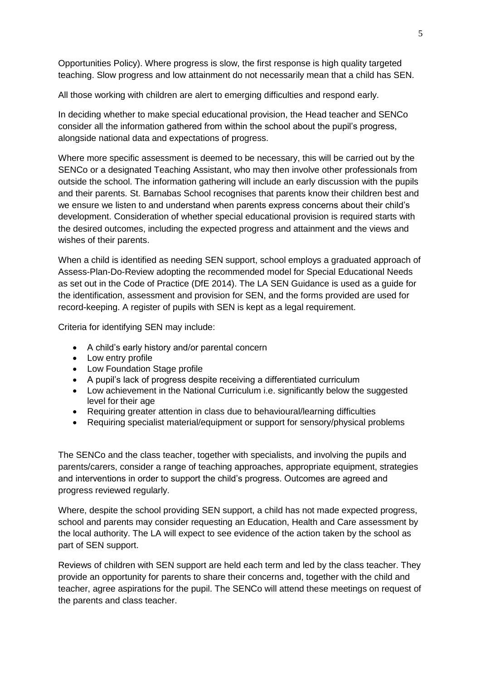Opportunities Policy). Where progress is slow, the first response is high quality targeted teaching. Slow progress and low attainment do not necessarily mean that a child has SEN.

All those working with children are alert to emerging difficulties and respond early.

In deciding whether to make special educational provision, the Head teacher and SENCo consider all the information gathered from within the school about the pupil's progress, alongside national data and expectations of progress.

Where more specific assessment is deemed to be necessary, this will be carried out by the SENCo or a designated Teaching Assistant, who may then involve other professionals from outside the school. The information gathering will include an early discussion with the pupils and their parents. St. Barnabas School recognises that parents know their children best and we ensure we listen to and understand when parents express concerns about their child's development. Consideration of whether special educational provision is required starts with the desired outcomes, including the expected progress and attainment and the views and wishes of their parents.

When a child is identified as needing SEN support, school employs a graduated approach of Assess-Plan-Do-Review adopting the recommended model for Special Educational Needs as set out in the Code of Practice (DfE 2014). The LA SEN Guidance is used as a guide for the identification, assessment and provision for SEN, and the forms provided are used for record-keeping. A register of pupils with SEN is kept as a legal requirement.

Criteria for identifying SEN may include:

- A child's early history and/or parental concern
- Low entry profile
- Low Foundation Stage profile
- A pupil's lack of progress despite receiving a differentiated curriculum
- Low achievement in the National Curriculum i.e. significantly below the suggested level for their age
- Requiring greater attention in class due to behavioural/learning difficulties
- Requiring specialist material/equipment or support for sensory/physical problems

The SENCo and the class teacher, together with specialists, and involving the pupils and parents/carers, consider a range of teaching approaches, appropriate equipment, strategies and interventions in order to support the child's progress. Outcomes are agreed and progress reviewed regularly.

Where, despite the school providing SEN support, a child has not made expected progress, school and parents may consider requesting an Education, Health and Care assessment by the local authority. The LA will expect to see evidence of the action taken by the school as part of SEN support.

Reviews of children with SEN support are held each term and led by the class teacher. They provide an opportunity for parents to share their concerns and, together with the child and teacher, agree aspirations for the pupil. The SENCo will attend these meetings on request of the parents and class teacher.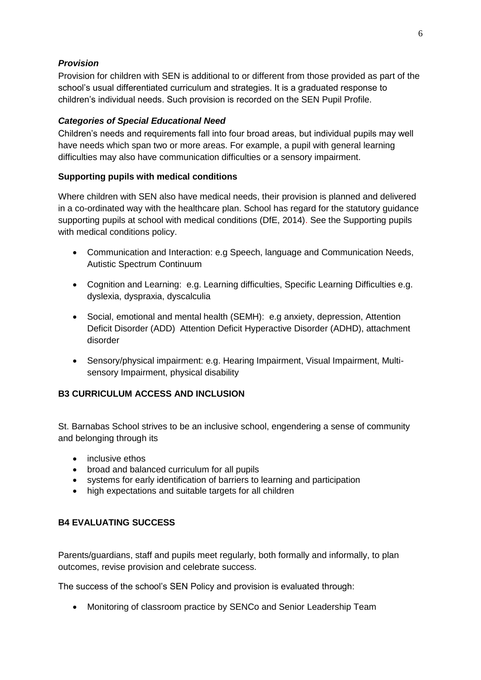## *Provision*

Provision for children with SEN is additional to or different from those provided as part of the school's usual differentiated curriculum and strategies. It is a graduated response to children's individual needs. Such provision is recorded on the SEN Pupil Profile.

### *Categories of Special Educational Need*

Children's needs and requirements fall into four broad areas, but individual pupils may well have needs which span two or more areas. For example, a pupil with general learning difficulties may also have communication difficulties or a sensory impairment.

### **Supporting pupils with medical conditions**

Where children with SEN also have medical needs, their provision is planned and delivered in a co-ordinated way with the healthcare plan. School has regard for the statutory guidance supporting pupils at school with medical conditions (DfE, 2014). See the Supporting pupils with medical conditions policy.

- Communication and Interaction: e.g Speech, language and Communication Needs, Autistic Spectrum Continuum
- Cognition and Learning: e.g. Learning difficulties, Specific Learning Difficulties e.g. dyslexia, dyspraxia, dyscalculia
- Social, emotional and mental health (SEMH): e.g anxiety, depression, Attention Deficit Disorder (ADD) Attention Deficit Hyperactive Disorder (ADHD), attachment disorder
- Sensory/physical impairment: e.g. Hearing Impairment, Visual Impairment, Multisensory Impairment, physical disability

## **B3 CURRICULUM ACCESS AND INCLUSION**

St. Barnabas School strives to be an inclusive school, engendering a sense of community and belonging through its

- inclusive ethos
- broad and balanced curriculum for all pupils
- systems for early identification of barriers to learning and participation
- high expectations and suitable targets for all children

### **B4 EVALUATING SUCCESS**

Parents/guardians, staff and pupils meet regularly, both formally and informally, to plan outcomes, revise provision and celebrate success.

The success of the school's SEN Policy and provision is evaluated through:

Monitoring of classroom practice by SENCo and Senior Leadership Team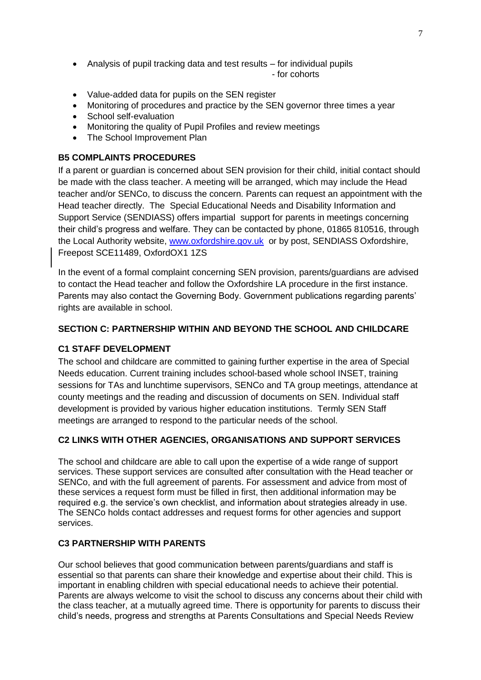- Analysis of pupil tracking data and test results for individual pupils - for cohorts
- Value-added data for pupils on the SEN register
- Monitoring of procedures and practice by the SEN governor three times a year
- School self-evaluation
- Monitoring the quality of Pupil Profiles and review meetings
- The School Improvement Plan

### **B5 COMPLAINTS PROCEDURES**

If a parent or guardian is concerned about SEN provision for their child, initial contact should be made with the class teacher. A meeting will be arranged, which may include the Head teacher and/or SENCo, to discuss the concern. Parents can request an appointment with the Head teacher directly. The Special Educational Needs and Disability Information and Support Service (SENDIASS) offers impartial support for parents in meetings concerning their child's progress and welfare. They can be contacted by phone, 01865 810516, through the Local Authority website, [www.oxfordshire.gov.uk](http://www.oxfordshire.gov.uk/) or by post, SENDIASS Oxfordshire, Freepost SCE11489, OxfordOX1 1ZS

In the event of a formal complaint concerning SEN provision, parents/guardians are advised to contact the Head teacher and follow the Oxfordshire LA procedure in the first instance. Parents may also contact the Governing Body. Government publications regarding parents' rights are available in school.

### **SECTION C: PARTNERSHIP WITHIN AND BEYOND THE SCHOOL AND CHILDCARE**

## **C1 STAFF DEVELOPMENT**

The school and childcare are committed to gaining further expertise in the area of Special Needs education. Current training includes school-based whole school INSET, training sessions for TAs and lunchtime supervisors, SENCo and TA group meetings, attendance at county meetings and the reading and discussion of documents on SEN. Individual staff development is provided by various higher education institutions. Termly SEN Staff meetings are arranged to respond to the particular needs of the school.

## **C2 LINKS WITH OTHER AGENCIES, ORGANISATIONS AND SUPPORT SERVICES**

The school and childcare are able to call upon the expertise of a wide range of support services. These support services are consulted after consultation with the Head teacher or SENCo, and with the full agreement of parents. For assessment and advice from most of these services a request form must be filled in first, then additional information may be required e.g. the service's own checklist, and information about strategies already in use. The SENCo holds contact addresses and request forms for other agencies and support services.

#### **C3 PARTNERSHIP WITH PARENTS**

Our school believes that good communication between parents/guardians and staff is essential so that parents can share their knowledge and expertise about their child. This is important in enabling children with special educational needs to achieve their potential. Parents are always welcome to visit the school to discuss any concerns about their child with the class teacher, at a mutually agreed time. There is opportunity for parents to discuss their child's needs, progress and strengths at Parents Consultations and Special Needs Review